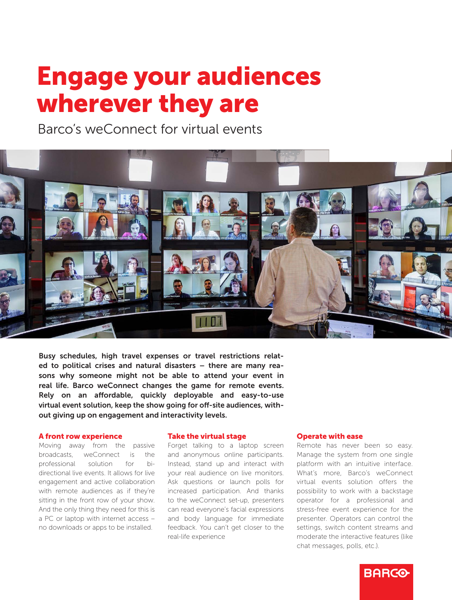# Engage your audiences wherever they are

Barco's weConnect for virtual events



Busy schedules, high travel expenses or travel restrictions related to political crises and natural disasters – there are many reasons why someone might not be able to attend your event in real life. Barco weConnect changes the game for remote events. Rely on an affordable, quickly deployable and easy-to-use virtual event solution, keep the show going for off-site audiences, without giving up on engagement and interactivity levels.

#### A front row experience

Moving away from the passive broadcasts, weConnect is the professional solution for bidirectional live events. It allows for live engagement and active collaboration with remote audiences as if they're sitting in the front row of your show. And the only thing they need for this is a PC or laptop with internet access – no downloads or apps to be installed.

#### Take the virtual stage

Forget talking to a laptop screen and anonymous online participants. Instead, stand up and interact with your real audience on live monitors. Ask questions or launch polls for increased participation. And thanks to the weConnect set-up, presenters can read everyone's facial expressions and body language for immediate feedback. You can't get closer to the real-life experience

#### Operate with ease

Remote has never been so easy. Manage the system from one single platform with an intuitive interface. What's more, Barco's weConnect virtual events solution offers the possibility to work with a backstage operator for a professional and stress-free event experience for the presenter. Operators can control the settings, switch content streams and moderate the interactive features (like chat messages, polls, etc.).